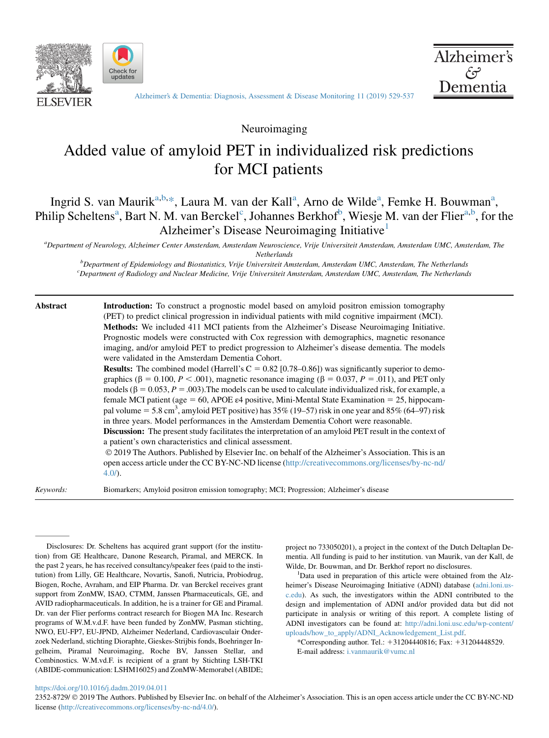





[Alzheimer's & Dementia: Diagnosis, Assessment & Disease Monitoring 11 \(2019\) 529-537](https://doi.org/10.1016/j.dadm.2019.04.011)

Neuroimaging

# Added value of amyloid PET in individualized risk predictions for MCI patients

# Ingrid S. van Maurik<sup>a,b,\*</sup>, Laura M. van der Kall<sup>a</sup>, Arno de Wilde<sup>a</sup>, Femke H. Bouwman<sup>a</sup>, Philip Scheltens<sup>a</sup>, Bart N. M. van Berckel<sup>c</sup>, Johannes Berkhof<sup>b</sup>, Wiesje M. van der Flier<sup>a,b</sup>, for the Alzheimer's Disease Neuroimaging Initiative<sup>1</sup>

a Department of Neurology, Alzheimer Center Amsterdam, Amsterdam Neuroscience, Vrije Universiteit Amsterdam, Amsterdam UMC, Amsterdam, The

Netherlands

b Department of Epidemiology and Biostatistics, Vrije Universiteit Amsterdam, Amsterdam UMC, Amsterdam, The Netherlands c Department of Radiology and Nuclear Medicine, Vrije Universiteit Amsterdam, Amsterdam UMC, Amsterdam, The Netherlands

| <b>Abstract</b> | <b>Introduction:</b> To construct a prognostic model based on amyloid positron emission tomography<br>(PET) to predict clinical progression in individual patients with mild cognitive impairment (MCI).<br>Methods: We included 411 MCI patients from the Alzheimer's Disease Neuroimaging Initiative.<br>Prognostic models were constructed with Cox regression with demographics, magnetic resonance                                                                                                                                                                                                                                                                                                                                                                                                                                                                                                                                                                                                                                                                      |
|-----------------|------------------------------------------------------------------------------------------------------------------------------------------------------------------------------------------------------------------------------------------------------------------------------------------------------------------------------------------------------------------------------------------------------------------------------------------------------------------------------------------------------------------------------------------------------------------------------------------------------------------------------------------------------------------------------------------------------------------------------------------------------------------------------------------------------------------------------------------------------------------------------------------------------------------------------------------------------------------------------------------------------------------------------------------------------------------------------|
|                 | imaging, and/or amyloid PET to predict progression to Alzheimer's disease dementia. The models<br>were validated in the Amsterdam Dementia Cohort.                                                                                                                                                                                                                                                                                                                                                                                                                                                                                                                                                                                                                                                                                                                                                                                                                                                                                                                           |
|                 | <b>Results:</b> The combined model (Harrell's $C = 0.82$ [0.78–0.86]) was significantly superior to demo-<br>graphics ( $\beta = 0.100$ , $P < .001$ ), magnetic resonance imaging ( $\beta = 0.037$ , $P = .011$ ), and PET only<br>models ( $\beta = 0.053$ , $P = .003$ ). The models can be used to calculate individualized risk, for example, a<br>female MCI patient (age = 60, APOE $\varepsilon$ 4 positive, Mini-Mental State Examination = 25, hippocam-<br>pal volume = 5.8 cm <sup>3</sup> , amyloid PET positive) has $35\%$ (19–57) risk in one year and $85\%$ (64–97) risk<br>in three years. Model performances in the Amsterdam Dementia Cohort were reasonable.<br><b>Discussion:</b> The present study facilitates the interpretation of an amyloid PET result in the context of<br>a patient's own characteristics and clinical assessment.<br>© 2019 The Authors. Published by Elsevier Inc. on behalf of the Alzheimer's Association. This is an<br>open access article under the CC BY-NC-ND license (http://creativecommons.org/licenses/by-nc-nd/ |
| Keywords:       | $4.0/$ ).<br>Biomarkers; Amyloid positron emission tomography; MCI; Progression; Alzheimer's disease                                                                                                                                                                                                                                                                                                                                                                                                                                                                                                                                                                                                                                                                                                                                                                                                                                                                                                                                                                         |

project no 733050201), a project in the context of the Dutch Deltaplan Dementia. All funding is paid to her institution. van Maurik, van der Kall, de Wilde, Dr. Bouwman, and Dr. Berkhof report no disclosures. <sup>1</sup>

<sup>1</sup>Data used in preparation of this article were obtained from the Alzheimer's Disease Neuroimaging Initiative (ADNI) database [\(adni.loni.us](http://adni.loni.usc.edu)[c.edu](http://adni.loni.usc.edu)). As such, the investigators within the ADNI contributed to the design and implementation of ADNI and/or provided data but did not participate in analysis or writing of this report. A complete listing of ADNI investigators can be found at: [http://adni.loni.usc.edu/wp-content/](http://adni.loni.usc.edu/wp-content/uploads/how_to_apply/ADNI_Acknowledgement_List.pdf) [uploads/how\\_to\\_apply/ADNI\\_Acknowledgement\\_List.pdf](http://adni.loni.usc.edu/wp-content/uploads/how_to_apply/ADNI_Acknowledgement_List.pdf).

\*Corresponding author. Tel.:  $+31204440816$ ; Fax:  $+31204448529$ . E-mail address: [i.vanmaurik@vumc.nl](mailto:i.vanmaurik@vumc.nl)

<https://doi.org/10.1016/j.dadm.2019.04.011>

Disclosures: Dr. Scheltens has acquired grant support (for the institution) from GE Healthcare, Danone Research, Piramal, and MERCK. In the past 2 years, he has received consultancy/speaker fees (paid to the institution) from Lilly, GE Healthcare, Novartis, Sanofi, Nutricia, Probiodrug, Biogen, Roche, Avraham, and EIP Pharma. Dr. van Berckel receives grant support from ZonMW, ISAO, CTMM, Janssen Pharmaceuticals, GE, and AVID radiopharmaceuticals. In addition, he is a trainer for GE and Piramal. Dr. van der Flier performs contract research for Biogen MA Inc. Research programs of W.M.v.d.F. have been funded by ZonMW, Pasman stichting, NWO, EU-FP7, EU-JPND, Alzheimer Nederland, Cardiovasculair Onderzoek Nederland, stichting Dioraphte, Gieskes-Strijbis fonds, Boehringer Ingelheim, Piramal Neuroimaging, Roche BV, Janssen Stellar, and Combinostics. W.M.vd.F. is recipient of a grant by Stichting LSH-TKI (ABIDE-communication: LSHM16025) and ZonMW-Memorabel (ABIDE;

<sup>2352-8729/</sup>  $\odot$  2019 The Authors. Published by Elsevier Inc. on behalf of the Alzheimer's Association. This is an open access article under the CC BY-NC-ND license ([http://creativecommons.org/licenses/by-nc-nd/4.0/\)](http://creativecommons.org/licenses/by-nc-nd/4.0/).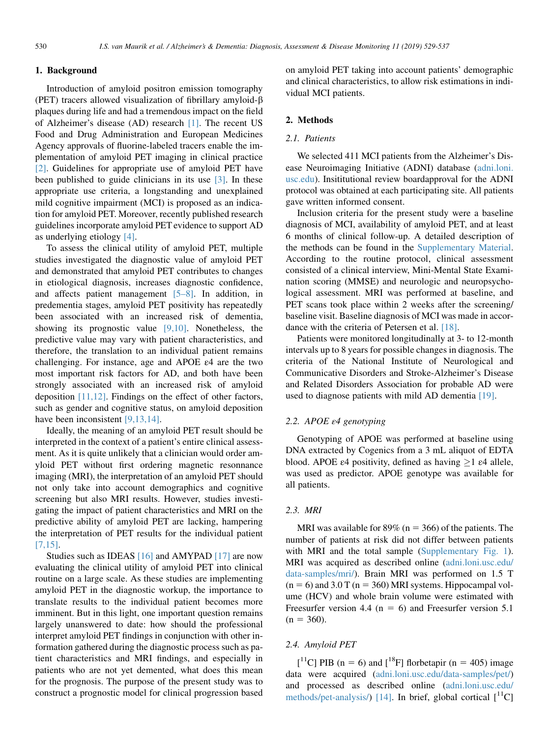# 1. Background

Introduction of amyloid positron emission tomography (PET) tracers allowed visualization of fibrillary amyloid- $\beta$ plaques during life and had a tremendous impact on the field of Alzheimer's disease (AD) research [\[1\].](#page-6-0) The recent US Food and Drug Administration and European Medicines Agency approvals of fluorine-labeled tracers enable the implementation of amyloid PET imaging in clinical practice [\[2\].](#page-6-0) Guidelines for appropriate use of amyloid PET have been published to guide clinicians in its use [\[3\].](#page-6-0) In these appropriate use criteria, a longstanding and unexplained mild cognitive impairment (MCI) is proposed as an indication for amyloid PET. Moreover, recently published research guidelines incorporate amyloid PET evidence to support AD as underlying etiology [\[4\].](#page-7-0)

To assess the clinical utility of amyloid PET, multiple studies investigated the diagnostic value of amyloid PET and demonstrated that amyloid PET contributes to changes in etiological diagnosis, increases diagnostic confidence, and affects patient management [\[5–8\]](#page-7-0). In addition, in predementia stages, amyloid PET positivity has repeatedly been associated with an increased risk of dementia, showing its prognostic value [\[9,10\].](#page-7-0) Nonetheless, the predictive value may vary with patient characteristics, and therefore, the translation to an individual patient remains challenging. For instance, age and APOE ε4 are the two most important risk factors for AD, and both have been strongly associated with an increased risk of amyloid deposition [\[11,12\]](#page-7-0). Findings on the effect of other factors, such as gender and cognitive status, on amyloid deposition have been inconsistent [\[9,13,14\]](#page-7-0).

Ideally, the meaning of an amyloid PET result should be interpreted in the context of a patient's entire clinical assessment. As it is quite unlikely that a clinician would order amyloid PET without first ordering magnetic resonnance imaging (MRI), the interpretation of an amyloid PET should not only take into account demographics and cognitive screening but also MRI results. However, studies investigating the impact of patient characteristics and MRI on the predictive ability of amyloid PET are lacking, hampering the interpretation of PET results for the individual patient [\[7,15\]](#page-7-0).

Studies such as IDEAS [\[16\]](#page-7-0) and AMYPAD [\[17\]](#page-7-0) are now evaluating the clinical utility of amyloid PET into clinical routine on a large scale. As these studies are implementing amyloid PET in the diagnostic workup, the importance to translate results to the individual patient becomes more imminent. But in this light, one important question remains largely unanswered to date: how should the professional interpret amyloid PET findings in conjunction with other information gathered during the diagnostic process such as patient characteristics and MRI findings, and especially in patients who are not yet demented, what does this mean for the prognosis. The purpose of the present study was to construct a prognostic model for clinical progression based on amyloid PET taking into account patients' demographic and clinical characteristics, to allow risk estimations in individual MCI patients.

# 2. Methods

# 2.1. Patients

We selected 411 MCI patients from the Alzheimer's Disease Neuroimaging Initiative (ADNI) database [\(adni.loni.](http://adni.loni.usc.edu) [usc.edu](http://adni.loni.usc.edu)). Insititutional review boardapproval for the ADNI protocol was obtained at each participating site. All patients gave written informed consent.

Inclusion criteria for the present study were a baseline diagnosis of MCI, availability of amyloid PET, and at least 6 months of clinical follow-up. A detailed description of the methods can be found in the [Supplementary Material.](#page-6-0) According to the routine protocol, clinical assessment consisted of a clinical interview, Mini-Mental State Examination scoring (MMSE) and neurologic and neuropsychological assessment. MRI was performed at baseline, and PET scans took place within 2 weeks after the screening/ baseline visit. Baseline diagnosis of MCI was made in accordance with the criteria of Petersen et al. [\[18\].](#page-7-0)

Patients were monitored longitudinally at 3- to 12-month intervals up to 8 years for possible changes in diagnosis. The criteria of the National Institute of Neurological and Communicative Disorders and Stroke-Alzheimer's Disease and Related Disorders Association for probable AD were used to diagnose patients with mild AD dementia [\[19\]](#page-7-0).

# 2.2. APOE ε4 genotyping

Genotyping of APOE was performed at baseline using DNA extracted by Cogenics from a 3 mL aliquot of EDTA blood. APOE  $\varepsilon$ 4 positivity, defined as having  $>1$   $\varepsilon$ 4 allele, was used as predictor. APOE genotype was available for all patients.

# 2.3. MRI

MRI was available for 89% ( $n = 366$ ) of the patients. The number of patients at risk did not differ between patients with MRI and the total sample [\(Supplementary Fig. 1](#page-6-0)). MRI was acquired as described online [\(adni.loni.usc.edu/](http://adni.loni.usc.edu/data-samples/mri/) [data-samples/mri/\)](http://adni.loni.usc.edu/data-samples/mri/). Brain MRI was performed on 1.5 T  $(n = 6)$  and 3.0 T  $(n = 360)$  MRI systems. Hippocampal volume (HCV) and whole brain volume were estimated with Freesurfer version 4.4 ( $n = 6$ ) and Freesurfer version 5.1  $(n = 360)$ .

# 2.4. Amyloid PET

 $[$ <sup>11</sup>C] PIB (n = 6) and  $[$ <sup>18</sup>F] florbetapir (n = 405) image data were acquired ([adni.loni.usc.edu/data-samples/pet/\)](http://adni.loni.usc.edu/data-samples/pet/) and processed as described online [\(adni.loni.usc.edu/](http://adni.loni.usc.edu/methods/pet-analysis/) [methods/pet-analysis/](http://adni.loni.usc.edu/methods/pet-analysis/)) [\[14\]](#page-7-0). In brief, global cortical  $\lceil {}^{11}C \rceil$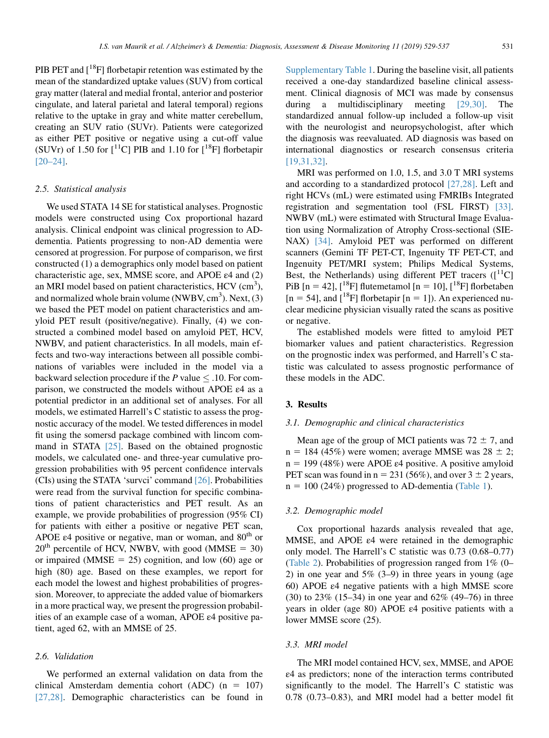PIB PET and  $[18F]$  florbetapir retention was estimated by the mean of the standardized uptake values (SUV) from cortical gray matter (lateral and medial frontal, anterior and posterior cingulate, and lateral parietal and lateral temporal) regions relative to the uptake in gray and white matter cerebellum, creating an SUV ratio (SUVr). Patients were categorized as either PET positive or negative using a cut-off value (SUVr) of 1.50 for  $\lceil$ <sup>11</sup>C] PIB and 1.10 for  $\lceil$ <sup>18</sup>F] florbetapir [\[20–24\].](#page-7-0)

#### 2.5. Statistical analysis

We used STATA 14 SE for statistical analyses. Prognostic models were constructed using Cox proportional hazard analysis. Clinical endpoint was clinical progression to ADdementia. Patients progressing to non-AD dementia were censored at progression. For purpose of comparison, we first constructed (1) a demographics only model based on patient characteristic age, sex, MMSE score, and APOE  $\varepsilon$ 4 and (2) an MRI model based on patient characteristics,  $HCV$  (cm<sup>3</sup>), and normalized whole brain volume (NWBV,  $cm<sup>3</sup>$ ). Next, (3) we based the PET model on patient characteristics and amyloid PET result (positive/negative). Finally, (4) we constructed a combined model based on amyloid PET, HCV, NWBV, and patient characteristics. In all models, main effects and two-way interactions between all possible combinations of variables were included in the model via a backward selection procedure if the P value  $\leq$  .10. For comparison, we constructed the models without APOE ε4 as a potential predictor in an additional set of analyses. For all models, we estimated Harrell's C statistic to assess the prognostic accuracy of the model. We tested differences in model fit using the somersd package combined with lincom command in STATA [\[25\].](#page-7-0) Based on the obtained prognostic models, we calculated one- and three-year cumulative progression probabilities with 95 percent confidence intervals (CIs) using the STATA 'survci' command [\[26\].](#page-7-0) Probabilities were read from the survival function for specific combinations of patient characteristics and PET result. As an example, we provide probabilities of progression (95% CI) for patients with either a positive or negative PET scan, APOE  $\varepsilon$ 4 positive or negative, man or woman, and  $80<sup>th</sup>$  or  $20<sup>th</sup>$  percentile of HCV, NWBV, with good (MMSE = 30) or impaired (MMSE = 25) cognition, and low (60) age or high (80) age. Based on these examples, we report for each model the lowest and highest probabilities of progression. Moreover, to appreciate the added value of biomarkers in a more practical way, we present the progression probabilities of an example case of a woman, APOE ε4 positive patient, aged 62, with an MMSE of 25.

#### 2.6. Validation

We performed an external validation on data from the clinical Amsterdam dementia cohort (ADC) ( $n = 107$ ) [\[27,28\]](#page-7-0). Demographic characteristics can be found in [Supplementary Table 1](#page-6-0). During the baseline visit, all patients received a one-day standardized baseline clinical assessment. Clinical diagnosis of MCI was made by consensus during a multidisciplinary meeting [\[29,30\].](#page-7-0) The standardized annual follow-up included a follow-up visit with the neurologist and neuropsychologist, after which the diagnosis was reevaluated. AD diagnosis was based on international diagnostics or research consensus criteria [\[19,31,32\].](#page-7-0)

MRI was performed on 1.0, 1.5, and 3.0 T MRI systems and according to a standardized protocol [\[27,28\].](#page-7-0) Left and right HCVs (mL) were estimated using FMRIBs Integrated registration and segmentation tool (FSL FIRST) [\[33\].](#page-7-0) NWBV (mL) were estimated with Structural Image Evaluation using Normalization of Atrophy Cross-sectional (SIE-NAX) [\[34\]](#page-7-0). Amyloid PET was performed on different scanners (Gemini TF PET-CT, Ingenuity TF PET-CT, and Ingenuity PET/MRI system; Philips Medical Systems, Best, the Netherlands) using different PET tracers ( $[$ <sup>11</sup>C] PiB  $[n = 42]$ ,  $[{}^{18}F]$  flutemetamol  $[n = 10]$ ,  $[{}^{18}F]$  florbetaben  $[n = 54]$ , and  $\binom{18}{1}$  florbetapir  $[n = 1]$ ). An experienced nuclear medicine physician visually rated the scans as positive or negative.

The established models were fitted to amyloid PET biomarker values and patient characteristics. Regression on the prognostic index was performed, and Harrell's C statistic was calculated to assess prognostic performance of these models in the ADC.

# 3. Results

#### 3.1. Demographic and clinical characteristics

Mean age of the group of MCI patients was  $72 \pm 7$ , and  $n = 184$  (45%) were women; average MMSE was 28  $\pm$  2;  $n = 199$  (48%) were APOE ε4 positive. A positive amyloid PET scan was found in  $n = 231 (56\%)$ , and over  $3 \pm 2$  years,  $n = 100$  (24%) progressed to AD-dementia ([Table 1](#page-3-0)).

#### 3.2. Demographic model

Cox proportional hazards analysis revealed that age, MMSE, and APOE ε4 were retained in the demographic only model. The Harrell's C statistic was 0.73 (0.68–0.77) [\(Table 2](#page-3-0)). Probabilities of progression ranged from 1% (0– 2) in one year and  $5\%$  (3–9) in three years in young (age 60) APOE ε4 negative patients with a high MMSE score (30) to 23% (15–34) in one year and 62% (49–76) in three years in older (age 80) APOE ε4 positive patients with a lower MMSE score (25).

#### 3.3. MRI model

The MRI model contained HCV, sex, MMSE, and APOE ε4 as predictors; none of the interaction terms contributed significantly to the model. The Harrell's C statistic was 0.78 (0.73–0.83), and MRI model had a better model fit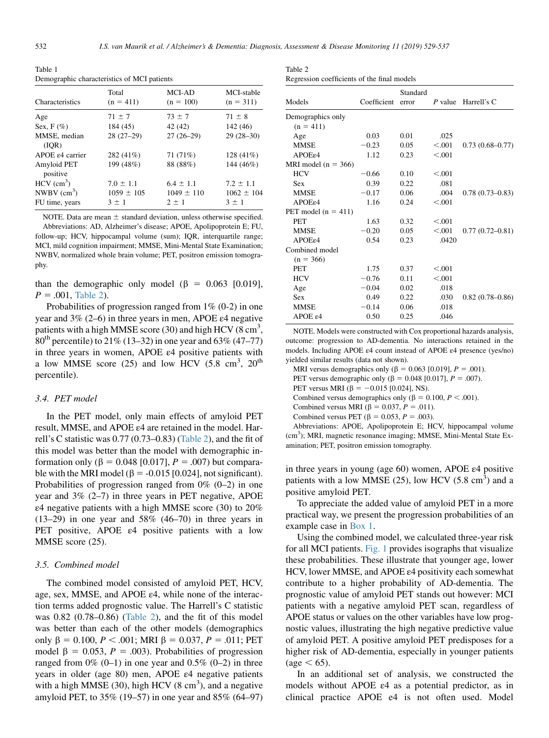<span id="page-3-0"></span>Table 1 Demographic characteristics of MCI patients

| <b>Characteristics</b>         | Total<br>$(n = 411)$        | MCI-AD<br>$(n = 100)$       | MCI-stable<br>$(n = 311)$   |
|--------------------------------|-----------------------------|-----------------------------|-----------------------------|
| Age                            | $71 \pm 7$                  | $73 \pm 7$                  | $71 \pm 8$                  |
| Sex, $F$ $(\%)$                | 184 (45)                    | 42 (42)                     | 142 (46)                    |
| MMSE, median<br>( IQR)         | $28(27-29)$                 | $27(26-29)$                 | $29(28-30)$                 |
| APOE $\varepsilon$ 4 carrier   | 282 (41%)                   | 71 (71%)                    | 128 (41%)                   |
| Amyloid PET<br>positive        | 199 (48%)                   | 88 (88%)                    | 144 (46%)                   |
| $HCV$ (cm <sup>3</sup> )       | $7.0 \pm 1.1$               | $6.4 \pm 1.1$               | $7.2 \pm 1.1$               |
| NWBV $(cm3)$<br>FU time, years | $1059 \pm 105$<br>$3 \pm 1$ | $1049 \pm 110$<br>$2 \pm 1$ | $1062 \pm 104$<br>$3 \pm 1$ |

NOTE. Data are mean  $\pm$  standard deviation, unless otherwise specified. Abbreviations: AD, Alzheimer's disease; APOE, Apolipoprotein E; FU, follow-up; HCV, hippocampal volume (sum); IQR, interquartile range; MCI, mild cognition impairment; MMSE, Mini-Mental State Examination; NWBV, normalized whole brain volume; PET, positron emission tomography.

than the demographic only model  $(\beta = 0.063 \, [0.019])$ ,  $P = .001$ . Table 2).

Probabilities of progression ranged from 1% (0-2) in one year and 3% (2–6) in three years in men, APOE ε4 negative patients with a high MMSE score (30) and high HCV ( $8 \text{ cm}^3$ , 80<sup>th</sup> percentile) to 21% (13–32) in one year and 63% (47–77) in three years in women, APOE ε4 positive patients with a low MMSE score (25) and low HCV  $(5.8 \text{ cm}^3, 20^{\text{th}})$ percentile).

#### 3.4. PET model

In the PET model, only main effects of amyloid PET result, MMSE, and APOE ε4 are retained in the model. Harrell's C statistic was 0.77 (0.73–0.83) (Table 2), and the fit of this model was better than the model with demographic information only  $(\beta = 0.048 \, [0.017], P = .007)$  but comparable with the MRI model ( $\beta$  = -0.015 [0.024], not significant). Probabilities of progression ranged from  $0\%$   $(0-2)$  in one year and 3% (2–7) in three years in PET negative, APOE ε4 negative patients with a high MMSE score (30) to 20%  $(13-29)$  in one year and 58%  $(46-70)$  in three years in PET positive, APOE ε4 positive patients with a low MMSE score (25).

#### 3.5. Combined model

The combined model consisted of amyloid PET, HCV, age, sex, MMSE, and APOE  $\varepsilon$ 4, while none of the interaction terms added prognostic value. The Harrell's C statistic was 0.82 (0.78–0.86) (Table 2), and the fit of this model was better than each of the other models (demographics only  $\beta = 0.100$ ,  $P < .001$ ; MRI  $\beta = 0.037$ ,  $P = .011$ ; PET model  $\beta = 0.053$ ,  $P = .003$ ). Probabilities of progression ranged from  $0\%$  (0–1) in one year and 0.5% (0–2) in three years in older (age 80) men, APOE ε4 negative patients with a high MMSE (30), high HCV  $(8 \text{ cm}^3)$ , and a negative amyloid PET, to 35% (19–57) in one year and 85% (64–97)

| Table 2                                     |  |
|---------------------------------------------|--|
| Regression coefficients of the final models |  |

| Models                  | Coefficient | Standard<br>error |         | P value Harrell's C |
|-------------------------|-------------|-------------------|---------|---------------------|
|                         |             |                   |         |                     |
| Demographics only       |             |                   |         |                     |
| $(n = 411)$             |             |                   |         |                     |
| Age                     | 0.03        | 0.01              | .025    |                     |
| <b>MMSE</b>             | $-0.23$     | 0.05              | < 0.001 | $0.73(0.68 - 0.77)$ |
| APOE <sub>ε4</sub>      | 1.12        | 0.23              | < 0.001 |                     |
| MRI model ( $n = 366$ ) |             |                   |         |                     |
| <b>HCV</b>              | $-0.66$     | 0.10              | < 0.001 |                     |
| <b>Sex</b>              | 0.39        | 0.22              | .081    |                     |
| <b>MMSE</b>             | $-0.17$     | 0.06              | .004    | $0.78(0.73 - 0.83)$ |
| APOE <sub>ε4</sub>      | 1.16        | 0.24              | < 0.001 |                     |
| PET model $(n = 411)$   |             |                   |         |                     |
| <b>PET</b>              | 1.63        | 0.32              | < 0.001 |                     |
| <b>MMSE</b>             | $-0.20$     | 0.05              | < 0.001 | $0.77(0.72 - 0.81)$ |
| APOE <sub>ε4</sub>      | 0.54        | 0.23              | .0420   |                     |
| Combined model          |             |                   |         |                     |
| $(n = 366)$             |             |                   |         |                     |
| <b>PET</b>              | 1.75        | 0.37              | < 0.001 |                     |
| <b>HCV</b>              | $-0.76$     | 0.11              | < 0.001 |                     |
| Age                     | $-0.04$     | 0.02              | .018    |                     |
| <b>Sex</b>              | 0.49        | 0.22              | .030    | $0.82(0.78 - 0.86)$ |
| <b>MMSE</b>             | $-0.14$     | 0.06              | .018    |                     |
| APOE ε4                 | 0.50        | 0.25              | .046    |                     |
|                         |             |                   |         |                     |

NOTE. Models were constructed with Cox proportional hazards analysis, outcome: progression to AD-dementia. No interactions retained in the models. Including APOE ε4 count instead of APOE ε4 presence (yes/no) yielded similar results (data not shown).

MRI versus demographics only ( $\beta = 0.063$  [0.019],  $P = .001$ ).

PET versus demographic only ( $\beta = 0.048$  [0.017],  $P = .007$ ).

PET versus MRI ( $\beta$  = -0.015 [0.024], NS).

Combined versus demographics only ( $\beta = 0.100$ ,  $P < .001$ ).

Combined versus MRI ( $\beta = 0.037$ ,  $P = .011$ ).

Combined versus PET ( $\beta = 0.053$ ,  $P = .003$ ).

Abbreviations: APOE, Apolipoprotein E; HCV, hippocampal volume (cm<sup>3</sup>); MRI, magnetic resonance imaging; MMSE, Mini-Mental State Examination; PET, positron emission tomography.

in three years in young (age 60) women, APOE ε4 positive patients with a low MMSE  $(25)$ , low HCV  $(5.8 \text{ cm}^3)$  and a positive amyloid PET.

To appreciate the added value of amyloid PET in a more practical way, we present the progression probabilities of an example case in Box 1.

Using the combined model, we calculated three-year risk for all MCI patients. [Fig. 1](#page-4-0) provides isographs that visualize these probabilities. These illustrate that younger age, lower HCV, lower MMSE, and APOE ε4 positivity each somewhat contribute to a higher probability of AD-dementia. The prognostic value of amyloid PET stands out however: MCI patients with a negative amyloid PET scan, regardless of APOE status or values on the other variables have low prognostic values, illustrating the high negative predictive value of amyloid PET. A positive amyloid PET predisposes for a higher risk of AD-dementia, especially in younger patients  $\text{(age} < 65\text{).}$ 

In an additional set of analysis, we constructed the models without APOE ε4 as a potential predictor, as in clinical practice APOE e4 is not often used. Model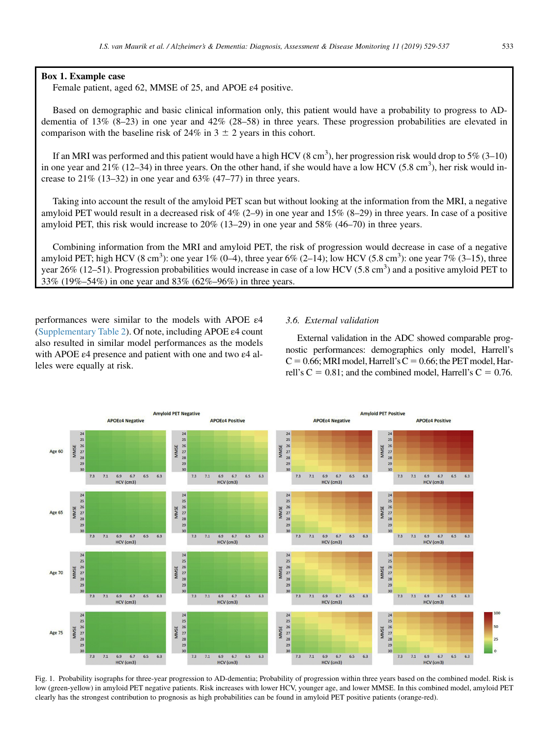# <span id="page-4-0"></span>Box 1. Example case

Female patient, aged 62, MMSE of 25, and APOE ε4 positive.

Based on demographic and basic clinical information only, this patient would have a probability to progress to ADdementia of 13% (8–23) in one year and 42% (28–58) in three years. These progression probabilities are elevated in comparison with the baseline risk of 24% in  $3 \pm 2$  years in this cohort.

If an MRI was performed and this patient would have a high HCV (8 cm<sup>3</sup>), her progression risk would drop to 5% (3–10) in one year and  $21\%$  (12–34) in three years. On the other hand, if she would have a low HCV (5.8 cm<sup>3</sup>), her risk would increase to  $21\%$  (13–32) in one year and  $63\%$  (47–77) in three years.

Taking into account the result of the amyloid PET scan but without looking at the information from the MRI, a negative amyloid PET would result in a decreased risk of  $4\%$  (2–9) in one year and  $15\%$  (8–29) in three years. In case of a positive amyloid PET, this risk would increase to 20% (13–29) in one year and 58% (46–70) in three years.

Combining information from the MRI and amyloid PET, the risk of progression would decrease in case of a negative amyloid PET; high HCV (8 cm<sup>3</sup>): one year 1% (0–4), three year 6% (2–14); low HCV (5.8 cm<sup>3</sup>): one year 7% (3–15), three year 26% (12–51). Progression probabilities would increase in case of a low HCV (5.8 cm<sup>3</sup>) and a positive amyloid PET to 33% (19%–54%) in one year and 83% (62%–96%) in three years.

performances were similar to the models with APOE ε4 [\(Supplementary Table 2](#page-6-0)). Of note, including APOE ε4 count also resulted in similar model performances as the models with APOE  $\varepsilon$ 4 presence and patient with one and two  $\varepsilon$ 4 alleles were equally at risk.

# 3.6. External validation

External validation in the ADC showed comparable prognostic performances: demographics only model, Harrell's  $C = 0.66$ ; MRI model, Harrell's  $C = 0.66$ ; the PET model, Harrell's  $C = 0.81$ ; and the combined model, Harrell's  $C = 0.76$ .



Fig. 1. Probability isographs for three-year progression to AD-dementia; Probability of progression within three years based on the combined model. Risk is low (green-yellow) in amyloid PET negative patients. Risk increases with lower HCV, younger age, and lower MMSE. In this combined model, amyloid PET clearly has the strongest contribution to prognosis as high probabilities can be found in amyloid PET positive patients (orange-red).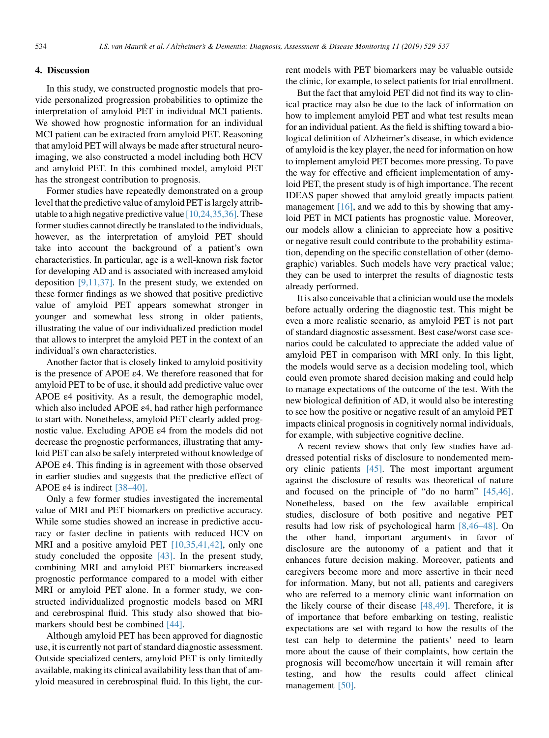# 4. Discussion

In this study, we constructed prognostic models that provide personalized progression probabilities to optimize the interpretation of amyloid PET in individual MCI patients. We showed how prognostic information for an individual MCI patient can be extracted from amyloid PET. Reasoning that amyloid PET will always be made after structural neuroimaging, we also constructed a model including both HCV and amyloid PET. In this combined model, amyloid PET has the strongest contribution to prognosis.

Former studies have repeatedly demonstrated on a group level that the predictive value of amyloid PET is largely attributable to a high negative predictive value [\[10,24,35,36\]](#page-7-0). These former studies cannot directly be translated to the individuals, however, as the interpretation of amyloid PET should take into account the background of a patient's own characteristics. In particular, age is a well-known risk factor for developing AD and is associated with increased amyloid deposition  $[9,11,37]$ . In the present study, we extended on these former findings as we showed that positive predictive value of amyloid PET appears somewhat stronger in younger and somewhat less strong in older patients, illustrating the value of our individualized prediction model that allows to interpret the amyloid PET in the context of an individual's own characteristics.

Another factor that is closely linked to amyloid positivity is the presence of APOE ε4. We therefore reasoned that for amyloid PET to be of use, it should add predictive value over APOE ε4 positivity. As a result, the demographic model, which also included APOE ε4, had rather high performance to start with. Nonetheless, amyloid PET clearly added prognostic value. Excluding APOE ε4 from the models did not decrease the prognostic performances, illustrating that amyloid PET can also be safely interpreted without knowledge of APOE ε4. This finding is in agreement with those observed in earlier studies and suggests that the predictive effect of APOE ε4 is indirect [\[38–40\]](#page-8-0).

Only a few former studies investigated the incremental value of MRI and PET biomarkers on predictive accuracy. While some studies showed an increase in predictive accuracy or faster decline in patients with reduced HCV on MRI and a positive amyloid PET [\[10,35,41,42\],](#page-7-0) only one study concluded the opposite [\[43\].](#page-8-0) In the present study, combining MRI and amyloid PET biomarkers increased prognostic performance compared to a model with either MRI or amyloid PET alone. In a former study, we constructed individualized prognostic models based on MRI and cerebrospinal fluid. This study also showed that bio-markers should best be combined [\[44\]](#page-8-0).

Although amyloid PET has been approved for diagnostic use, it is currently not part of standard diagnostic assessment. Outside specialized centers, amyloid PET is only limitedly available, making its clinical availability less than that of amyloid measured in cerebrospinal fluid. In this light, the current models with PET biomarkers may be valuable outside the clinic, for example, to select patients for trial enrollment.

But the fact that amyloid PET did not find its way to clinical practice may also be due to the lack of information on how to implement amyloid PET and what test results mean for an individual patient. As the field is shifting toward a biological definition of Alzheimer's disease, in which evidence of amyloid is the key player, the need for information on how to implement amyloid PET becomes more pressing. To pave the way for effective and efficient implementation of amyloid PET, the present study is of high importance. The recent IDEAS paper showed that amyloid greatly impacts patient management  $[16]$ , and we add to this by showing that amyloid PET in MCI patients has prognostic value. Moreover, our models allow a clinician to appreciate how a positive or negative result could contribute to the probability estimation, depending on the specific constellation of other (demographic) variables. Such models have very practical value; they can be used to interpret the results of diagnostic tests already performed.

It is also conceivable that a clinician would use the models before actually ordering the diagnostic test. This might be even a more realistic scenario, as amyloid PET is not part of standard diagnostic assessment. Best case/worst case scenarios could be calculated to appreciate the added value of amyloid PET in comparison with MRI only. In this light, the models would serve as a decision modeling tool, which could even promote shared decision making and could help to manage expectations of the outcome of the test. With the new biological definition of AD, it would also be interesting to see how the positive or negative result of an amyloid PET impacts clinical prognosis in cognitively normal individuals, for example, with subjective cognitive decline.

A recent review shows that only few studies have addressed potential risks of disclosure to nondemented memory clinic patients [\[45\]](#page-8-0). The most important argument against the disclosure of results was theoretical of nature and focused on the principle of "do no harm" [\[45,46\].](#page-8-0) Nonetheless, based on the few available empirical studies, disclosure of both positive and negative PET results had low risk of psychological harm [\[8,46–48\].](#page-7-0) On the other hand, important arguments in favor of disclosure are the autonomy of a patient and that it enhances future decision making. Moreover, patients and caregivers become more and more assertive in their need for information. Many, but not all, patients and caregivers who are referred to a memory clinic want information on the likely course of their disease  $[48,49]$ . Therefore, it is of importance that before embarking on testing, realistic expectations are set with regard to how the results of the test can help to determine the patients' need to learn more about the cause of their complaints, how certain the prognosis will become/how uncertain it will remain after testing, and how the results could affect clinical management [\[50\]](#page-8-0).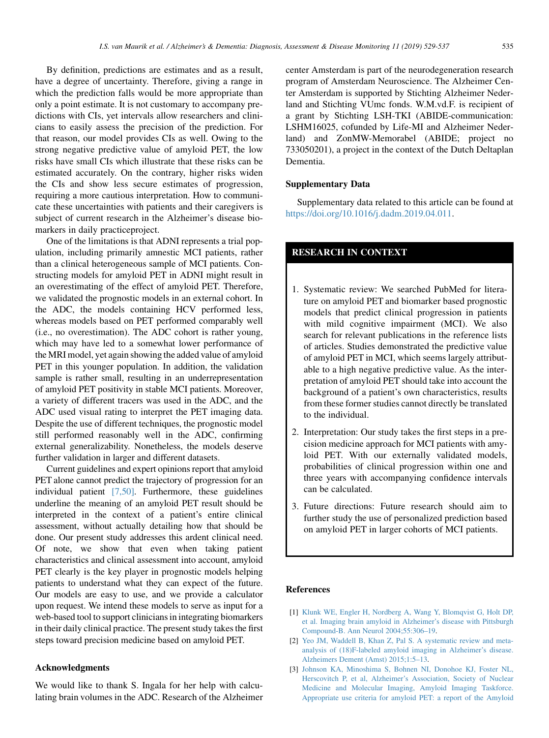<span id="page-6-0"></span>By definition, predictions are estimates and as a result, have a degree of uncertainty. Therefore, giving a range in which the prediction falls would be more appropriate than only a point estimate. It is not customary to accompany predictions with CIs, yet intervals allow researchers and clinicians to easily assess the precision of the prediction. For that reason, our model provides CIs as well. Owing to the strong negative predictive value of amyloid PET, the low risks have small CIs which illustrate that these risks can be estimated accurately. On the contrary, higher risks widen the CIs and show less secure estimates of progression, requiring a more cautious interpretation. How to communicate these uncertainties with patients and their caregivers is subject of current research in the Alzheimer's disease biomarkers in daily practiceproject.

One of the limitations is that ADNI represents a trial population, including primarily amnestic MCI patients, rather than a clinical heterogeneous sample of MCI patients. Constructing models for amyloid PET in ADNI might result in an overestimating of the effect of amyloid PET. Therefore, we validated the prognostic models in an external cohort. In the ADC, the models containing HCV performed less, whereas models based on PET performed comparably well (i.e., no overestimation). The ADC cohort is rather young, which may have led to a somewhat lower performance of the MRI model, yet again showing the added value of amyloid PET in this younger population. In addition, the validation sample is rather small, resulting in an underrepresentation of amyloid PET positivity in stable MCI patients. Moreover, a variety of different tracers was used in the ADC, and the ADC used visual rating to interpret the PET imaging data. Despite the use of different techniques, the prognostic model still performed reasonably well in the ADC, confirming external generalizability. Nonetheless, the models deserve further validation in larger and different datasets.

Current guidelines and expert opinions report that amyloid PET alone cannot predict the trajectory of progression for an individual patient [\[7,50\].](#page-7-0) Furthermore, these guidelines underline the meaning of an amyloid PET result should be interpreted in the context of a patient's entire clinical assessment, without actually detailing how that should be done. Our present study addresses this ardent clinical need. Of note, we show that even when taking patient characteristics and clinical assessment into account, amyloid PET clearly is the key player in prognostic models helping patients to understand what they can expect of the future. Our models are easy to use, and we provide a calculator upon request. We intend these models to serve as input for a web-based tool to support clinicians in integrating biomarkers in their daily clinical practice. The present study takes the first steps toward precision medicine based on amyloid PET.

#### Acknowledgments

We would like to thank S. Ingala for her help with calculating brain volumes in the ADC. Research of the Alzheimer center Amsterdam is part of the neurodegeneration research program of Amsterdam Neuroscience. The Alzheimer Center Amsterdam is supported by Stichting Alzheimer Nederland and Stichting VUmc fonds. W.M.vd.F. is recipient of a grant by Stichting LSH-TKI (ABIDE-communication: LSHM16025, cofunded by Life-MI and Alzheimer Nederland) and ZonMW-Memorabel (ABIDE; project no 733050201), a project in the context of the Dutch Deltaplan Dementia.

# Supplementary Data

Supplementary data related to this article can be found at <https://doi.org/10.1016/j.dadm.2019.04.011>.

# RESEARCH IN CONTEXT

- 1. Systematic review: We searched PubMed for literature on amyloid PET and biomarker based prognostic models that predict clinical progression in patients with mild cognitive impairment (MCI). We also search for relevant publications in the reference lists of articles. Studies demonstrated the predictive value of amyloid PET in MCI, which seems largely attributable to a high negative predictive value. As the interpretation of amyloid PET should take into account the background of a patient's own characteristics, results from these former studies cannot directly be translated to the individual.
- 2. Interpretation: Our study takes the first steps in a precision medicine approach for MCI patients with amyloid PET. With our externally validated models, probabilities of clinical progression within one and three years with accompanying confidence intervals can be calculated.
- 3. Future directions: Future research should aim to further study the use of personalized prediction based on amyloid PET in larger cohorts of MCI patients.

#### References

- [1] [Klunk WE, Engler H, Nordberg A, Wang Y, Blomqvist G, Holt DP,](http://refhub.elsevier.com/S2352-8729(19)30040-5/sref1) [et al. Imaging brain amyloid in Alzheimer's disease with Pittsburgh](http://refhub.elsevier.com/S2352-8729(19)30040-5/sref1) [Compound-B. Ann Neurol 2004;55:306–19](http://refhub.elsevier.com/S2352-8729(19)30040-5/sref1).
- [2] [Yeo JM, Waddell B, Khan Z, Pal S. A systematic review and meta](http://refhub.elsevier.com/S2352-8729(19)30040-5/sref2)[analysis of \(18\)F-labeled amyloid imaging in Alzheimer's disease.](http://refhub.elsevier.com/S2352-8729(19)30040-5/sref2) [Alzheimers Dement \(Amst\) 2015;1:5–13.](http://refhub.elsevier.com/S2352-8729(19)30040-5/sref2)
- [3] [Johnson KA, Minoshima S, Bohnen NI, Donohoe KJ, Foster NL,](http://refhub.elsevier.com/S2352-8729(19)30040-5/sref3) [Herscovitch P, et al, Alzheimer's Association, Society of Nuclear](http://refhub.elsevier.com/S2352-8729(19)30040-5/sref3) [Medicine and Molecular Imaging, Amyloid Imaging Taskforce.](http://refhub.elsevier.com/S2352-8729(19)30040-5/sref3) [Appropriate use criteria for amyloid PET: a report of the Amyloid](http://refhub.elsevier.com/S2352-8729(19)30040-5/sref3)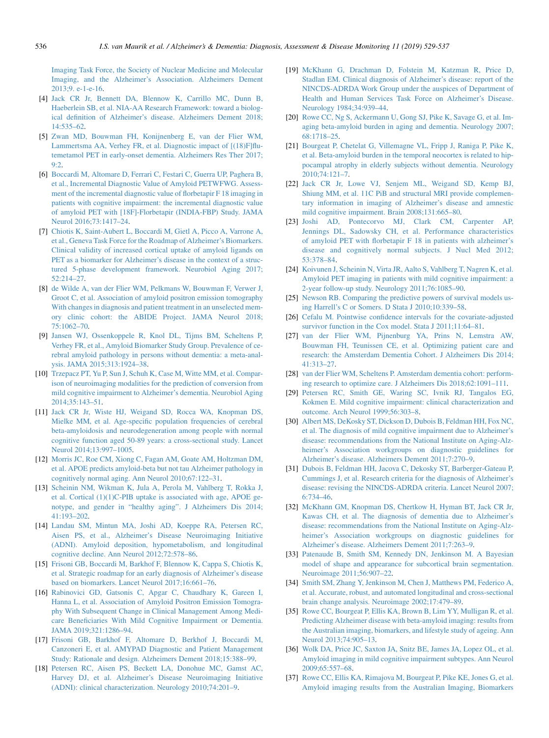<span id="page-7-0"></span>[Imaging Task Force, the Society of Nuclear Medicine and Molecular](http://refhub.elsevier.com/S2352-8729(19)30040-5/sref3) [Imaging, and the Alzheimer's Association. Alzheimers Dement](http://refhub.elsevier.com/S2352-8729(19)30040-5/sref3) [2013;9. e-1-e-16](http://refhub.elsevier.com/S2352-8729(19)30040-5/sref3).

- [4] [Jack CR Jr, Bennett DA, Blennow K, Carrillo MC, Dunn B,](http://refhub.elsevier.com/S2352-8729(19)30040-5/sref4) [Haeberlein SB, et al. NIA-AA Research Framework: toward a biolog](http://refhub.elsevier.com/S2352-8729(19)30040-5/sref4)[ical definition of Alzheimer's disease. Alzheimers Dement 2018;](http://refhub.elsevier.com/S2352-8729(19)30040-5/sref4) [14:535–62](http://refhub.elsevier.com/S2352-8729(19)30040-5/sref4).
- [5] [Zwan MD, Bouwman FH, Konijnenberg E, van der Flier WM,](http://refhub.elsevier.com/S2352-8729(19)30040-5/sref5) [Lammertsma AA, Verhey FR, et al. Diagnostic impact of \[\(18\)F\]flu](http://refhub.elsevier.com/S2352-8729(19)30040-5/sref5)[temetamol PET in early-onset dementia. Alzheimers Res Ther 2017;](http://refhub.elsevier.com/S2352-8729(19)30040-5/sref5)  $9.2$
- [6] [Boccardi M, Altomare D, Ferrari C, Festari C, Guerra UP, Paghera B,](http://refhub.elsevier.com/S2352-8729(19)30040-5/sref6) [et al., Incremental Diagnostic Value of Amyloid PETWFWG. Assess](http://refhub.elsevier.com/S2352-8729(19)30040-5/sref6)[ment of the incremental diagnostic value of florbetapir F 18 imaging in](http://refhub.elsevier.com/S2352-8729(19)30040-5/sref6) [patients with cognitive impairment: the incremental diagnostic value](http://refhub.elsevier.com/S2352-8729(19)30040-5/sref6) [of amyloid PET with \[18F\]-Florbetapir \(INDIA-FBP\) Study. JAMA](http://refhub.elsevier.com/S2352-8729(19)30040-5/sref6) [Neurol 2016;73:1417–24.](http://refhub.elsevier.com/S2352-8729(19)30040-5/sref6)
- [7] [Chiotis K, Saint-Aubert L, Boccardi M, Gietl A, Picco A, Varrone A,](http://refhub.elsevier.com/S2352-8729(19)30040-5/sref7) [et al., Geneva Task Force for the Roadmap of Alzheimer's Biomarkers.](http://refhub.elsevier.com/S2352-8729(19)30040-5/sref7) [Clinical validity of increased cortical uptake of amyloid ligands on](http://refhub.elsevier.com/S2352-8729(19)30040-5/sref7) [PET as a biomarker for Alzheimer's disease in the context of a struc](http://refhub.elsevier.com/S2352-8729(19)30040-5/sref7)[tured 5-phase development framework. Neurobiol Aging 2017;](http://refhub.elsevier.com/S2352-8729(19)30040-5/sref7) [52:214–27](http://refhub.elsevier.com/S2352-8729(19)30040-5/sref7).
- [8] [de Wilde A, van der Flier WM, Pelkmans W, Bouwman F, Verwer J,](http://refhub.elsevier.com/S2352-8729(19)30040-5/sref8) [Groot C, et al. Association of amyloid positron emission tomography](http://refhub.elsevier.com/S2352-8729(19)30040-5/sref8) [With changes in diagnosis and patient treatment in an unselected mem](http://refhub.elsevier.com/S2352-8729(19)30040-5/sref8)[ory clinic cohort: the ABIDE Project. JAMA Neurol 2018;](http://refhub.elsevier.com/S2352-8729(19)30040-5/sref8) [75:1062–70](http://refhub.elsevier.com/S2352-8729(19)30040-5/sref8).
- [9] [Jansen WJ, Ossenkoppele R, Knol DL, Tijms BM, Scheltens P,](http://refhub.elsevier.com/S2352-8729(19)30040-5/sref9) [Verhey FR, et al., Amyloid Biomarker Study Group. Prevalence of ce](http://refhub.elsevier.com/S2352-8729(19)30040-5/sref9)[rebral amyloid pathology in persons without dementia: a meta-anal](http://refhub.elsevier.com/S2352-8729(19)30040-5/sref9)[ysis. JAMA 2015;313:1924–38](http://refhub.elsevier.com/S2352-8729(19)30040-5/sref9).
- [10] [Trzepacz PT, Yu P, Sun J, Schuh K, Case M, Witte MM, et al. Compar](http://refhub.elsevier.com/S2352-8729(19)30040-5/sref10)[ison of neuroimaging modalities for the prediction of conversion from](http://refhub.elsevier.com/S2352-8729(19)30040-5/sref10) [mild cognitive impairment to Alzheimer's dementia. Neurobiol Aging](http://refhub.elsevier.com/S2352-8729(19)30040-5/sref10) [2014;35:143–51](http://refhub.elsevier.com/S2352-8729(19)30040-5/sref10).
- [11] [Jack CR Jr, Wiste HJ, Weigand SD, Rocca WA, Knopman DS,](http://refhub.elsevier.com/S2352-8729(19)30040-5/sref11) [Mielke MM, et al. Age-specific population frequencies of cerebral](http://refhub.elsevier.com/S2352-8729(19)30040-5/sref11) [beta-amyloidosis and neurodegeneration among people with normal](http://refhub.elsevier.com/S2352-8729(19)30040-5/sref11) [cognitive function aged 50-89 years: a cross-sectional study. Lancet](http://refhub.elsevier.com/S2352-8729(19)30040-5/sref11) [Neurol 2014;13:997–1005.](http://refhub.elsevier.com/S2352-8729(19)30040-5/sref11)
- [12] [Morris JC, Roe CM, Xiong C, Fagan AM, Goate AM, Holtzman DM,](http://refhub.elsevier.com/S2352-8729(19)30040-5/sref12) [et al. APOE predicts amyloid-beta but not tau Alzheimer pathology in](http://refhub.elsevier.com/S2352-8729(19)30040-5/sref12) [cognitively normal aging. Ann Neurol 2010;67:122–31](http://refhub.elsevier.com/S2352-8729(19)30040-5/sref12).
- [13] [Scheinin NM, Wikman K, Jula A, Perola M, Vahlberg T, Rokka J,](http://refhub.elsevier.com/S2352-8729(19)30040-5/sref13) [et al. Cortical \(1\)\(1\)C-PIB uptake is associated with age, APOE ge](http://refhub.elsevier.com/S2352-8729(19)30040-5/sref13)[notype, and gender in "healthy aging". J Alzheimers Dis 2014;](http://refhub.elsevier.com/S2352-8729(19)30040-5/sref13) [41:193–202](http://refhub.elsevier.com/S2352-8729(19)30040-5/sref13).
- [14] [Landau SM, Mintun MA, Joshi AD, Koeppe RA, Petersen RC,](http://refhub.elsevier.com/S2352-8729(19)30040-5/sref14) [Aisen PS, et al., Alzheimer's Disease Neuroimaging Initiative](http://refhub.elsevier.com/S2352-8729(19)30040-5/sref14) [\(ADNI\). Amyloid deposition, hypometabolism, and longitudinal](http://refhub.elsevier.com/S2352-8729(19)30040-5/sref14) [cognitive decline. Ann Neurol 2012;72:578–86.](http://refhub.elsevier.com/S2352-8729(19)30040-5/sref14)
- [15] [Frisoni GB, Boccardi M, Barkhof F, Blennow K, Cappa S, Chiotis K,](http://refhub.elsevier.com/S2352-8729(19)30040-5/sref15) [et al. Strategic roadmap for an early diagnosis of Alzheimer's disease](http://refhub.elsevier.com/S2352-8729(19)30040-5/sref15) [based on biomarkers. Lancet Neurol 2017;16:661–76](http://refhub.elsevier.com/S2352-8729(19)30040-5/sref15).
- [16] [Rabinovici GD, Gatsonis C, Apgar C, Chaudhary K, Gareen I,](http://refhub.elsevier.com/S2352-8729(19)30040-5/sref16) [Hanna L, et al. Association of Amyloid Positron Emission Tomogra](http://refhub.elsevier.com/S2352-8729(19)30040-5/sref16)[phy With Subsequent Change in Clinical Management Among Medi](http://refhub.elsevier.com/S2352-8729(19)30040-5/sref16)[care Beneficiaries With Mild Cognitive Impairment or Dementia.](http://refhub.elsevier.com/S2352-8729(19)30040-5/sref16) [JAMA 2019;321:1286–94.](http://refhub.elsevier.com/S2352-8729(19)30040-5/sref16)
- [17] [Frisoni GB, Barkhof F, Altomare D, Berkhof J, Boccardi M,](http://refhub.elsevier.com/S2352-8729(19)30040-5/sref17) [Canzoneri E, et al. AMYPAD Diagnostic and Patient Management](http://refhub.elsevier.com/S2352-8729(19)30040-5/sref17) [Study: Rationale and design. Alzheimers Dement 2018;15:388–99](http://refhub.elsevier.com/S2352-8729(19)30040-5/sref17).
- [18] [Petersen RC, Aisen PS, Beckett LA, Donohue MC, Gamst AC,](http://refhub.elsevier.com/S2352-8729(19)30040-5/sref18) [Harvey DJ, et al. Alzheimer's Disease Neuroimaging Initiative](http://refhub.elsevier.com/S2352-8729(19)30040-5/sref18) [\(ADNI\): clinical characterization. Neurology 2010;74:201–9](http://refhub.elsevier.com/S2352-8729(19)30040-5/sref18).
- [19] [McKhann G, Drachman D, Folstein M, Katzman R, Price D,](http://refhub.elsevier.com/S2352-8729(19)30040-5/sref19) [Stadlan EM. Clinical diagnosis of Alzheimer's disease: report of the](http://refhub.elsevier.com/S2352-8729(19)30040-5/sref19) [NINCDS-ADRDA Work Group under the auspices of Department of](http://refhub.elsevier.com/S2352-8729(19)30040-5/sref19) [Health and Human Services Task Force on Alzheimer's Disease.](http://refhub.elsevier.com/S2352-8729(19)30040-5/sref19) [Neurology 1984;34:939–44.](http://refhub.elsevier.com/S2352-8729(19)30040-5/sref19)
- [20] [Rowe CC, Ng S, Ackermann U, Gong SJ, Pike K, Savage G, et al. Im](http://refhub.elsevier.com/S2352-8729(19)30040-5/sref20)[aging beta-amyloid burden in aging and dementia. Neurology 2007;](http://refhub.elsevier.com/S2352-8729(19)30040-5/sref20) [68:1718–25](http://refhub.elsevier.com/S2352-8729(19)30040-5/sref20).
- [21] [Bourgeat P, Chetelat G, Villemagne VL, Fripp J, Raniga P, Pike K,](http://refhub.elsevier.com/S2352-8729(19)30040-5/sref21) [et al. Beta-amyloid burden in the temporal neocortex is related to hip](http://refhub.elsevier.com/S2352-8729(19)30040-5/sref21)[pocampal atrophy in elderly subjects without dementia. Neurology](http://refhub.elsevier.com/S2352-8729(19)30040-5/sref21) [2010;74:121–7](http://refhub.elsevier.com/S2352-8729(19)30040-5/sref21).
- [22] [Jack CR Jr, Lowe VJ, Senjem ML, Weigand SD, Kemp BJ,](http://refhub.elsevier.com/S2352-8729(19)30040-5/sref22) [Shiung MM, et al. 11C PiB and structural MRI provide complemen](http://refhub.elsevier.com/S2352-8729(19)30040-5/sref22)[tary information in imaging of Alzheimer's disease and amnestic](http://refhub.elsevier.com/S2352-8729(19)30040-5/sref22) [mild cognitive impairment. Brain 2008;131:665–80.](http://refhub.elsevier.com/S2352-8729(19)30040-5/sref22)
- [23] [Joshi AD, Pontecorvo MJ, Clark CM, Carpenter AP,](http://refhub.elsevier.com/S2352-8729(19)30040-5/sref23) [Jennings DL, Sadowsky CH, et al. Performance characteristics](http://refhub.elsevier.com/S2352-8729(19)30040-5/sref23) [of amyloid PET with florbetapir F 18 in patients with alzheimer's](http://refhub.elsevier.com/S2352-8729(19)30040-5/sref23) [disease and cognitively normal subjects. J Nucl Med 2012;](http://refhub.elsevier.com/S2352-8729(19)30040-5/sref23) [53:378–84](http://refhub.elsevier.com/S2352-8729(19)30040-5/sref23).
- [24] [Koivunen J, Scheinin N, Virta JR, Aalto S, Vahlberg T, Nagren K, et al.](http://refhub.elsevier.com/S2352-8729(19)30040-5/sref24) [Amyloid PET imaging in patients with mild cognitive impairment: a](http://refhub.elsevier.com/S2352-8729(19)30040-5/sref24) [2-year follow-up study. Neurology 2011;76:1085–90.](http://refhub.elsevier.com/S2352-8729(19)30040-5/sref24)
- [25] [Newson RB. Comparing the predictive powers of survival models us](http://refhub.elsevier.com/S2352-8729(19)30040-5/sref25)[ing Harrell's C or Somers. D Stata J 2010;10:339–58.](http://refhub.elsevier.com/S2352-8729(19)30040-5/sref25)
- [26] [Cefalu M. Pointwise confidence intervals for the covariate-adjusted](http://refhub.elsevier.com/S2352-8729(19)30040-5/sref26) [survivor function in the Cox model. Stata J 2011;11:64–81](http://refhub.elsevier.com/S2352-8729(19)30040-5/sref26).
- [27] [van der Flier WM, Pijnenburg YA, Prins N, Lemstra AW,](http://refhub.elsevier.com/S2352-8729(19)30040-5/sref27) [Bouwman FH, Teunissen CE, et al. Optimizing patient care and](http://refhub.elsevier.com/S2352-8729(19)30040-5/sref27) [research: the Amsterdam Dementia Cohort. J Alzheimers Dis 2014;](http://refhub.elsevier.com/S2352-8729(19)30040-5/sref27) [41:313–27](http://refhub.elsevier.com/S2352-8729(19)30040-5/sref27).
- [28] [van der Flier WM, Scheltens P. Amsterdam dementia cohort: perform](http://refhub.elsevier.com/S2352-8729(19)30040-5/sref28)[ing research to optimize care. J Alzheimers Dis 2018;62:1091–111.](http://refhub.elsevier.com/S2352-8729(19)30040-5/sref28)
- [29] [Petersen RC, Smith GE, Waring SC, Ivnik RJ, Tangalos EG,](http://refhub.elsevier.com/S2352-8729(19)30040-5/sref29) [Kokmen E. Mild cognitive impairment: clinical characterization and](http://refhub.elsevier.com/S2352-8729(19)30040-5/sref29) [outcome. Arch Neurol 1999;56:303–8.](http://refhub.elsevier.com/S2352-8729(19)30040-5/sref29)
- [30] [Albert MS, DeKosky ST, Dickson D, Dubois B, Feldman HH, Fox NC,](http://refhub.elsevier.com/S2352-8729(19)30040-5/sref30) [et al. The diagnosis of mild cognitive impairment due to Alzheimer's](http://refhub.elsevier.com/S2352-8729(19)30040-5/sref30) [disease: recommendations from the National Institute on Aging-Alz](http://refhub.elsevier.com/S2352-8729(19)30040-5/sref30)[heimer's Association workgroups on diagnostic guidelines for](http://refhub.elsevier.com/S2352-8729(19)30040-5/sref30) [Alzheimer's disease. Alzheimers Dement 2011;7:270–9](http://refhub.elsevier.com/S2352-8729(19)30040-5/sref30).
- [31] [Dubois B, Feldman HH, Jacova C, Dekosky ST, Barberger-Gateau P,](http://refhub.elsevier.com/S2352-8729(19)30040-5/sref31) [Cummings J, et al. Research criteria for the diagnosis of Alzheimer's](http://refhub.elsevier.com/S2352-8729(19)30040-5/sref31) [disease: revising the NINCDS-ADRDA criteria. Lancet Neurol 2007;](http://refhub.elsevier.com/S2352-8729(19)30040-5/sref31) [6:734–46](http://refhub.elsevier.com/S2352-8729(19)30040-5/sref31).
- [32] [McKhann GM, Knopman DS, Chertkow H, Hyman BT, Jack CR Jr,](http://refhub.elsevier.com/S2352-8729(19)30040-5/sref32) [Kawas CH, et al. The diagnosis of dementia due to Alzheimer's](http://refhub.elsevier.com/S2352-8729(19)30040-5/sref32) [disease: recommendations from the National Institute on Aging-Alz](http://refhub.elsevier.com/S2352-8729(19)30040-5/sref32)[heimer's Association workgroups on diagnostic guidelines for](http://refhub.elsevier.com/S2352-8729(19)30040-5/sref32) [Alzheimer's disease. Alzheimers Dement 2011;7:263–9](http://refhub.elsevier.com/S2352-8729(19)30040-5/sref32).
- [33] [Patenaude B, Smith SM, Kennedy DN, Jenkinson M. A Bayesian](http://refhub.elsevier.com/S2352-8729(19)30040-5/sref33) [model of shape and appearance for subcortical brain segmentation.](http://refhub.elsevier.com/S2352-8729(19)30040-5/sref33) [Neuroimage 2011;56:907–22.](http://refhub.elsevier.com/S2352-8729(19)30040-5/sref33)
- [34] [Smith SM, Zhang Y, Jenkinson M, Chen J, Matthews PM, Federico A,](http://refhub.elsevier.com/S2352-8729(19)30040-5/sref34) [et al. Accurate, robust, and automated longitudinal and cross-sectional](http://refhub.elsevier.com/S2352-8729(19)30040-5/sref34) [brain change analysis. Neuroimage 2002;17:479–89](http://refhub.elsevier.com/S2352-8729(19)30040-5/sref34).
- [35] [Rowe CC, Bourgeat P, Ellis KA, Brown B, Lim YY, Mulligan R, et al.](http://refhub.elsevier.com/S2352-8729(19)30040-5/sref35) [Predicting Alzheimer disease with beta-amyloid imaging: results from](http://refhub.elsevier.com/S2352-8729(19)30040-5/sref35) [the Australian imaging, biomarkers, and lifestyle study of ageing. Ann](http://refhub.elsevier.com/S2352-8729(19)30040-5/sref35) [Neurol 2013;74:905–13.](http://refhub.elsevier.com/S2352-8729(19)30040-5/sref35)
- [36] [Wolk DA, Price JC, Saxton JA, Snitz BE, James JA, Lopez OL, et al.](http://refhub.elsevier.com/S2352-8729(19)30040-5/sref36) [Amyloid imaging in mild cognitive impairment subtypes. Ann Neurol](http://refhub.elsevier.com/S2352-8729(19)30040-5/sref36) [2009;65:557–68](http://refhub.elsevier.com/S2352-8729(19)30040-5/sref36).
- [37] [Rowe CC, Ellis KA, Rimajova M, Bourgeat P, Pike KE, Jones G, et al.](http://refhub.elsevier.com/S2352-8729(19)30040-5/sref37) [Amyloid imaging results from the Australian Imaging, Biomarkers](http://refhub.elsevier.com/S2352-8729(19)30040-5/sref37)